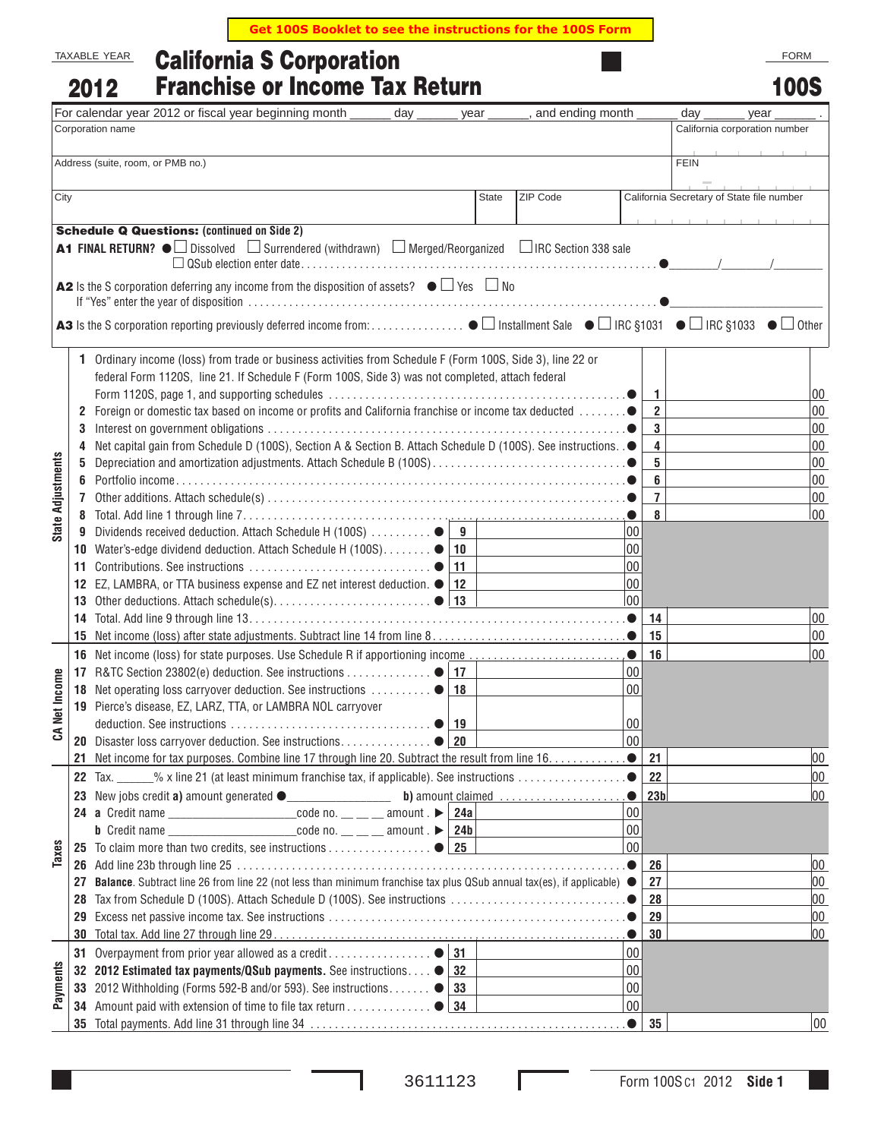**Get 100S Booklet to see the instructions for the 100S Form**

## California S Corporation Franchise or Income Tax Return TAXABLE YEAR 2012

|                          |    | <b>Franchise or Income Tax Return</b><br>2012                                                                          |              |                  |              |                         | 100S                                      |
|--------------------------|----|------------------------------------------------------------------------------------------------------------------------|--------------|------------------|--------------|-------------------------|-------------------------------------------|
|                          |    | For calendar year 2012 or fiscal year beginning month<br>day                                                           | year         | and ending month |              | day                     | year                                      |
|                          |    | Corporation name                                                                                                       |              |                  |              |                         | California corporation number             |
|                          |    |                                                                                                                        |              |                  |              |                         |                                           |
|                          |    | Address (suite, room, or PMB no.)                                                                                      |              |                  |              | <b>FEIN</b>             |                                           |
| City                     |    |                                                                                                                        | <b>State</b> | ZIP Code         |              |                         | California Secretary of State file number |
|                          |    |                                                                                                                        |              |                  |              |                         |                                           |
|                          |    | <b>Schedule Q Questions: (continued on Side 2)</b>                                                                     |              |                  |              |                         |                                           |
|                          |    | A1 FINAL RETURN? ● Dissolved D Surrendered (withdrawn) D Merged/Reorganized DIRC Section 338 sale                      |              |                  |              |                         |                                           |
|                          |    |                                                                                                                        |              |                  |              |                         |                                           |
|                          |    | A2 Is the S corporation deferring any income from the disposition of assets? $\bullet \Box$ Yes $\Box$ No              |              |                  |              |                         |                                           |
|                          |    |                                                                                                                        |              |                  |              |                         |                                           |
|                          | 1. | Ordinary income (loss) from trade or business activities from Schedule F (Form 100S, Side 3), line 22 or               |              |                  |              |                         |                                           |
|                          |    | federal Form 1120S, line 21. If Schedule F (Form 100S, Side 3) was not completed, attach federal                       |              |                  |              |                         |                                           |
|                          |    |                                                                                                                        |              |                  |              | 1                       | 00                                        |
|                          | 2  |                                                                                                                        |              |                  |              | $\overline{2}$          | $00\,$                                    |
|                          | 3  |                                                                                                                        |              |                  |              | 3                       | $00\,$                                    |
|                          | 4  | Net capital gain from Schedule D (100S), Section A & Section B. Attach Schedule D (100S). See instructions. .●         |              |                  |              | $\overline{\mathbf{4}}$ | $00\,$                                    |
| <b>State Adjustments</b> | 5  |                                                                                                                        |              |                  |              | 5                       | $00\,$                                    |
|                          | 6  |                                                                                                                        |              |                  |              | 6                       | $00\,$                                    |
|                          |    |                                                                                                                        |              |                  |              | $\overline{7}$          | $00\,$                                    |
|                          |    |                                                                                                                        |              |                  |              | 8                       | 00                                        |
|                          | 9  | Dividends received deduction. Attach Schedule H (100S) ●                                                               | 9            |                  | 00           |                         |                                           |
|                          | 10 | Water's-edge dividend deduction. Attach Schedule H (100S). ● 10                                                        |              |                  | 00           |                         |                                           |
|                          | 11 | 11                                                                                                                     |              |                  | 00           |                         |                                           |
|                          |    | 12 EZ, LAMBRA, or TTA business expense and EZ net interest deduction. $\bullet$<br>  12                                |              |                  | 00           |                         |                                           |
|                          | 13 |                                                                                                                        |              |                  | 00           |                         |                                           |
|                          | 14 |                                                                                                                        |              |                  |              | 14                      | $00\,$                                    |
|                          | 15 |                                                                                                                        |              |                  |              | 15                      | $00\,$                                    |
|                          |    |                                                                                                                        |              |                  |              | 16                      | 00                                        |
|                          |    | 17 R&TC Section 23802(e) deduction. See instructions $\bullet$   17                                                    |              |                  | 00           |                         |                                           |
|                          |    | 18                                                                                                                     |              |                  | 00           |                         |                                           |
| et Income                |    | 19 Pierce's disease, EZ, LARZ, TTA, or LAMBRA NOL carryover                                                            |              |                  |              |                         |                                           |
| చే                       |    |                                                                                                                        |              |                  | 00           |                         |                                           |
|                          |    | 20 Disaster loss carryover deduction. See instructions   20                                                            |              |                  | 00           |                         |                                           |
|                          | 21 |                                                                                                                        |              |                  |              | 21                      | 00                                        |
|                          |    | $\%$ x line 21 (at least minimum franchise tax, if applicable). See instructions ●<br><b>22</b> Tax.                   |              |                  |              | 22                      | 00                                        |
|                          |    |                                                                                                                        |              |                  |              | 23 <sub>b</sub>         | 00                                        |
|                          |    |                                                                                                                        |              |                  | 00           |                         |                                           |
|                          |    | <b>b</b> Credit name _______________________code no. __ __ __ amount . $\triangleright$   24b                          |              |                  | 00           |                         |                                           |
| Taxes                    |    |                                                                                                                        |              |                  | 00           |                         |                                           |
|                          |    |                                                                                                                        |              |                  |              | 26                      | 00                                        |
|                          | 27 | Balance. Subtract line 26 from line 22 (not less than minimum franchise tax plus QSub annual tax(es), if applicable) ● |              |                  |              | 27                      | 00                                        |
|                          | 28 |                                                                                                                        |              |                  |              | 28                      | 00                                        |
|                          | 29 |                                                                                                                        |              |                  |              | 29                      | 00                                        |
|                          | 30 |                                                                                                                        |              |                  |              | 30                      | $ 00\rangle$                              |
|                          |    | 31                                                                                                                     |              |                  | 00           |                         |                                           |
| Payments                 |    | 32 2012 Estimated tax payments/QSub payments. See instructions . •<br>32                                               |              |                  | 00           |                         |                                           |
|                          |    | 33 2012 Withholding (Forms 592-B and/or 593). See instructions. ●<br> 33                                               |              |                  | 00           |                         |                                           |
|                          | 34 |                                                                                                                        |              |                  | $ 00\rangle$ |                         |                                           |
|                          | 35 |                                                                                                                        |              |                  |              | 35                      | 00                                        |

L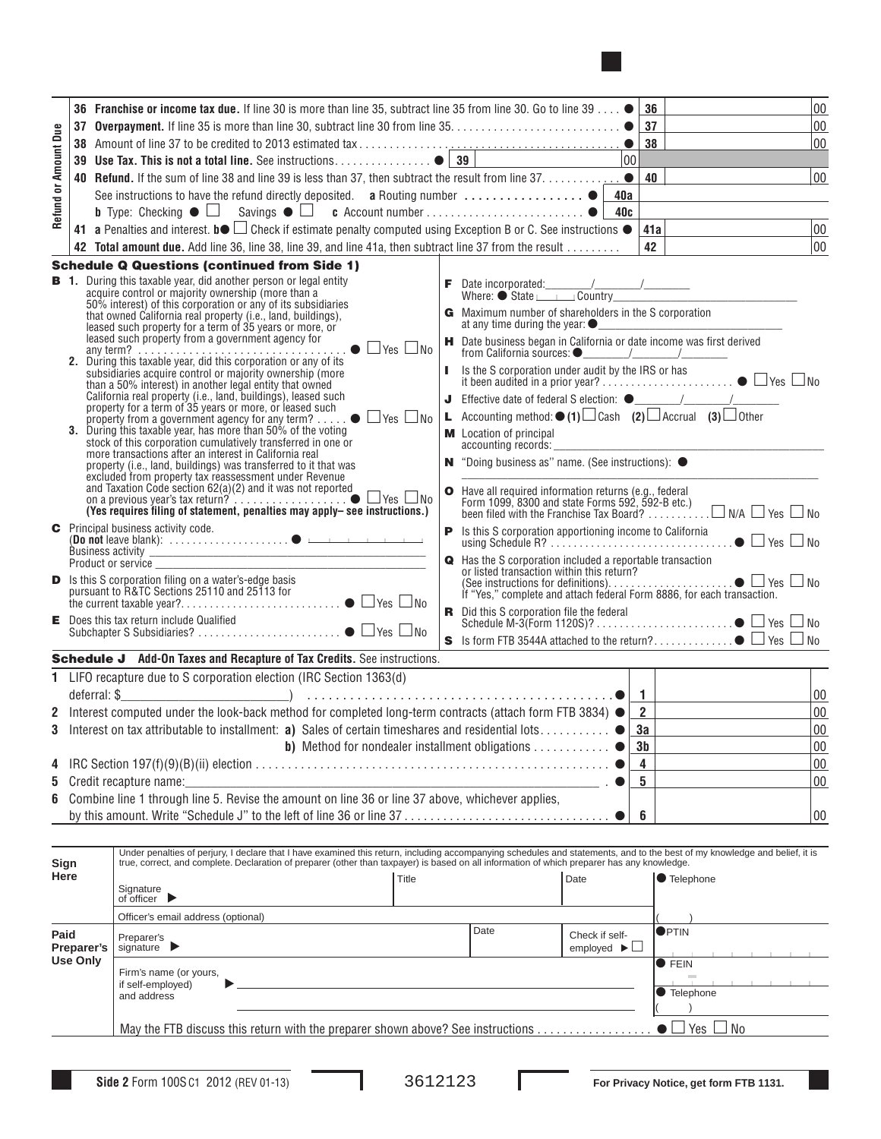

|                      |                                                                                                    | <b>36</b> Franchise or income tax due. If line 30 is more than line 35, subtract line 35 from line 30. Go to line 39 $\bullet$ 36                                                                                                                                                                                         |                                                                                                                                                                                               |                                     |                                | 00                                               |
|----------------------|----------------------------------------------------------------------------------------------------|---------------------------------------------------------------------------------------------------------------------------------------------------------------------------------------------------------------------------------------------------------------------------------------------------------------------------|-----------------------------------------------------------------------------------------------------------------------------------------------------------------------------------------------|-------------------------------------|--------------------------------|--------------------------------------------------|
|                      |                                                                                                    |                                                                                                                                                                                                                                                                                                                           |                                                                                                                                                                                               |                                     |                                | 00                                               |
|                      |                                                                                                    |                                                                                                                                                                                                                                                                                                                           |                                                                                                                                                                                               |                                     | 38                             | 00                                               |
|                      |                                                                                                    |                                                                                                                                                                                                                                                                                                                           |                                                                                                                                                                                               |                                     |                                |                                                  |
| Refund or Amount Due |                                                                                                    | 40 Refund. If the sum of line 38 and line 39 is less than 37, then subtract the result from line $37, \ldots, \ldots, \ldots$                                                                                                                                                                                             |                                                                                                                                                                                               |                                     | 00                             |                                                  |
|                      |                                                                                                    | See instructions to have the refund directly deposited. a Routing number  ● 40a                                                                                                                                                                                                                                           |                                                                                                                                                                                               |                                     |                                | the control of the control of the control of the |
|                      |                                                                                                    |                                                                                                                                                                                                                                                                                                                           |                                                                                                                                                                                               |                                     |                                |                                                  |
|                      |                                                                                                    | 41 a Penalties and interest. b $\bullet$ $\Box$ Check if estimate penalty computed using Exception B or C. See instructions $\bullet$                                                                                                                                                                                     |                                                                                                                                                                                               |                                     | 41a                            | $ _{00}$                                         |
|                      |                                                                                                    | 42 Total amount due. Add line 36, line 38, line 39, and line 41a, then subtract line 37 from the result                                                                                                                                                                                                                   |                                                                                                                                                                                               |                                     | 42                             | $ 00\rangle$                                     |
|                      |                                                                                                    | <b>Schedule Q Questions (continued from Side 1)</b>                                                                                                                                                                                                                                                                       |                                                                                                                                                                                               |                                     |                                |                                                  |
|                      |                                                                                                    | <b>B</b> 1. During this taxable year, did another person or legal entity<br>acquire control or majority ownership (more than a                                                                                                                                                                                            | $\begin{tabular}{c c} \hline \textbf{F} & Date incorporated: & \textit{\textbf{---}} & \textit{\textbf{---}} \\ \hline \textbf{Where:} & State \textit{\textbf{---}} & Country \end{tabular}$ |                                     |                                |                                                  |
|                      |                                                                                                    | 50% interest) of this corporation or any of its subsidiaries<br>that owned California real property (i.e., land, buildings),                                                                                                                                                                                              | G Maximum number of shareholders in the S corporation                                                                                                                                         |                                     |                                |                                                  |
|                      |                                                                                                    | leased such property for a term of 35 years or more, or<br>leased such property from a government agency for                                                                                                                                                                                                              | H Date business began in California or date income was first derived                                                                                                                          |                                     |                                |                                                  |
|                      |                                                                                                    | subsidiaries acquire control or majority ownership (more                                                                                                                                                                                                                                                                  |                                                                                                                                                                                               |                                     |                                |                                                  |
|                      |                                                                                                    | than a 50% interest) in another legal entity that owned<br>California real property (i.e., land, buildings), leased such property for a term of 35 years or more, or leased such                                                                                                                                          |                                                                                                                                                                                               |                                     |                                |                                                  |
|                      |                                                                                                    | property from a government agency for any term? $\ldots$ $\bullet$ $\Box$ Yes $\Box$ No                                                                                                                                                                                                                                   | <b>L</b> Accounting method: $\bullet$ (1) $\Box$ Cash (2) $\Box$ Accrual (3) $\Box$ Other                                                                                                     |                                     |                                |                                                  |
|                      |                                                                                                    | 3. During this taxable year, has more than 50% of the voting<br>stock of this corporation cumulatively transferred in one or<br>more transactions after an interest in California real                                                                                                                                    | <b>M</b> Location of principal<br>accounting records:                                                                                                                                         |                                     |                                |                                                  |
|                      |                                                                                                    | property (i.e., land, buildings) was transferred to it that was<br>excluded from property tax reassessment under Revenue                                                                                                                                                                                                  | N "Doing business as" name. (See instructions): ●                                                                                                                                             |                                     |                                |                                                  |
|                      |                                                                                                    | and Taxation Code section 62(a)(2) and it was not reported<br>on a previous year's tax return? $\ldots$ $\ldots$ $\ldots$ $\ldots$ $\ldots$ $\bullet$ $\Box$ Yes $\Box$ No                                                                                                                                                | O Have all required information returns (e.g., federal<br>Form 1099, 8300 and state Forms 592, 592-B etc.)                                                                                    |                                     |                                |                                                  |
|                      |                                                                                                    | (Yes requires filing of statement, penalties may apply- see instructions.)                                                                                                                                                                                                                                                |                                                                                                                                                                                               |                                     |                                |                                                  |
|                      |                                                                                                    | <b>C</b> Principal business activity code.                                                                                                                                                                                                                                                                                |                                                                                                                                                                                               |                                     |                                |                                                  |
|                      |                                                                                                    | Product or service                                                                                                                                                                                                                                                                                                        | Reflashed Scorporation included a reportable transaction                                                                                                                                      |                                     |                                |                                                  |
|                      |                                                                                                    | <b>D</b> Is this S corporation filing on a water's-edge basis<br>pursuant to R&TC Sections 25110 and 25113 for                                                                                                                                                                                                            | or listed transaction within this return?<br>If "Yes," complete and attach federal Form 8886, for each transaction.                                                                           |                                     |                                |                                                  |
|                      |                                                                                                    | E Does this tax return include Qualified                                                                                                                                                                                                                                                                                  |                                                                                                                                                                                               |                                     |                                |                                                  |
|                      |                                                                                                    |                                                                                                                                                                                                                                                                                                                           |                                                                                                                                                                                               |                                     |                                |                                                  |
|                      |                                                                                                    | Schedule J Add-On Taxes and Recapture of Tax Credits. See instructions.                                                                                                                                                                                                                                                   |                                                                                                                                                                                               |                                     |                                |                                                  |
|                      |                                                                                                    | 1 LIFO recapture due to S corporation election (IRC Section 1363(d)                                                                                                                                                                                                                                                       |                                                                                                                                                                                               |                                     |                                | 00                                               |
|                      |                                                                                                    | 2 Interest computed under the look-back method for completed long-term contracts (attach form FTB 3834) $\bullet$   2                                                                                                                                                                                                     |                                                                                                                                                                                               |                                     |                                | $00\,$                                           |
|                      |                                                                                                    | 3 Interest on tax attributable to installment: a) Sales of certain timeshares and residential lots                                                                                                                                                                                                                        |                                                                                                                                                                                               | $\bullet$                           | 3a                             | 00                                               |
|                      |                                                                                                    | <b>b)</b> Method for nondealer installment obligations                                                                                                                                                                                                                                                                    |                                                                                                                                                                                               |                                     | 3b                             | $00\,$                                           |
|                      |                                                                                                    |                                                                                                                                                                                                                                                                                                                           |                                                                                                                                                                                               |                                     | 4                              | $00\,$                                           |
|                      |                                                                                                    | 5 Credit recapture name:                                                                                                                                                                                                                                                                                                  | 5                                                                                                                                                                                             | $00\,$                              |                                |                                                  |
|                      | 6 Combine line 1 through line 5. Revise the amount on line 36 or line 37 above, whichever applies, |                                                                                                                                                                                                                                                                                                                           |                                                                                                                                                                                               |                                     |                                |                                                  |
|                      |                                                                                                    |                                                                                                                                                                                                                                                                                                                           |                                                                                                                                                                                               |                                     | 6                              | 00                                               |
|                      |                                                                                                    |                                                                                                                                                                                                                                                                                                                           |                                                                                                                                                                                               |                                     |                                |                                                  |
|                      |                                                                                                    | Under penalties of perjury, I declare that I have examined this return, including accompanying schedules and statements, and to the best of my knowledge and belief, it is<br>true, correct, and complete. Declaration of preparer (other than taxpayer) is based on all information of which preparer has any knowledge. |                                                                                                                                                                                               |                                     |                                |                                                  |
| Sign<br>Here         |                                                                                                    | Title                                                                                                                                                                                                                                                                                                                     |                                                                                                                                                                                               | Date                                | <b>Telephone</b>               |                                                  |
|                      |                                                                                                    | Signature                                                                                                                                                                                                                                                                                                                 |                                                                                                                                                                                               |                                     |                                |                                                  |
|                      |                                                                                                    | of officer $\blacktriangleright$                                                                                                                                                                                                                                                                                          |                                                                                                                                                                                               |                                     |                                |                                                  |
|                      |                                                                                                    | Officer's email address (optional)                                                                                                                                                                                                                                                                                        | Date                                                                                                                                                                                          |                                     |                                |                                                  |
| Paid                 | Preparer's                                                                                         | Preparer's<br>signature $\blacktriangleright$                                                                                                                                                                                                                                                                             |                                                                                                                                                                                               | Check if self-                      | <b>OPTIN</b>                   |                                                  |
|                      | <b>Use Only</b>                                                                                    |                                                                                                                                                                                                                                                                                                                           |                                                                                                                                                                                               | employed $\blacktriangleright \Box$ | <b>C</b> FEIN                  |                                                  |
|                      |                                                                                                    | Firm's name (or yours,                                                                                                                                                                                                                                                                                                    |                                                                                                                                                                                               |                                     |                                |                                                  |
|                      |                                                                                                    | if self-employed)<br>and address                                                                                                                                                                                                                                                                                          |                                                                                                                                                                                               |                                     | <b>Telephone</b>               |                                                  |
|                      |                                                                                                    |                                                                                                                                                                                                                                                                                                                           |                                                                                                                                                                                               |                                     |                                |                                                  |
|                      |                                                                                                    | May the FTB discuss this return with the preparer shown above? See instructions                                                                                                                                                                                                                                           |                                                                                                                                                                                               |                                     | $\bullet$ $\Box$ Yes $\Box$ No |                                                  |
|                      |                                                                                                    |                                                                                                                                                                                                                                                                                                                           |                                                                                                                                                                                               |                                     |                                |                                                  |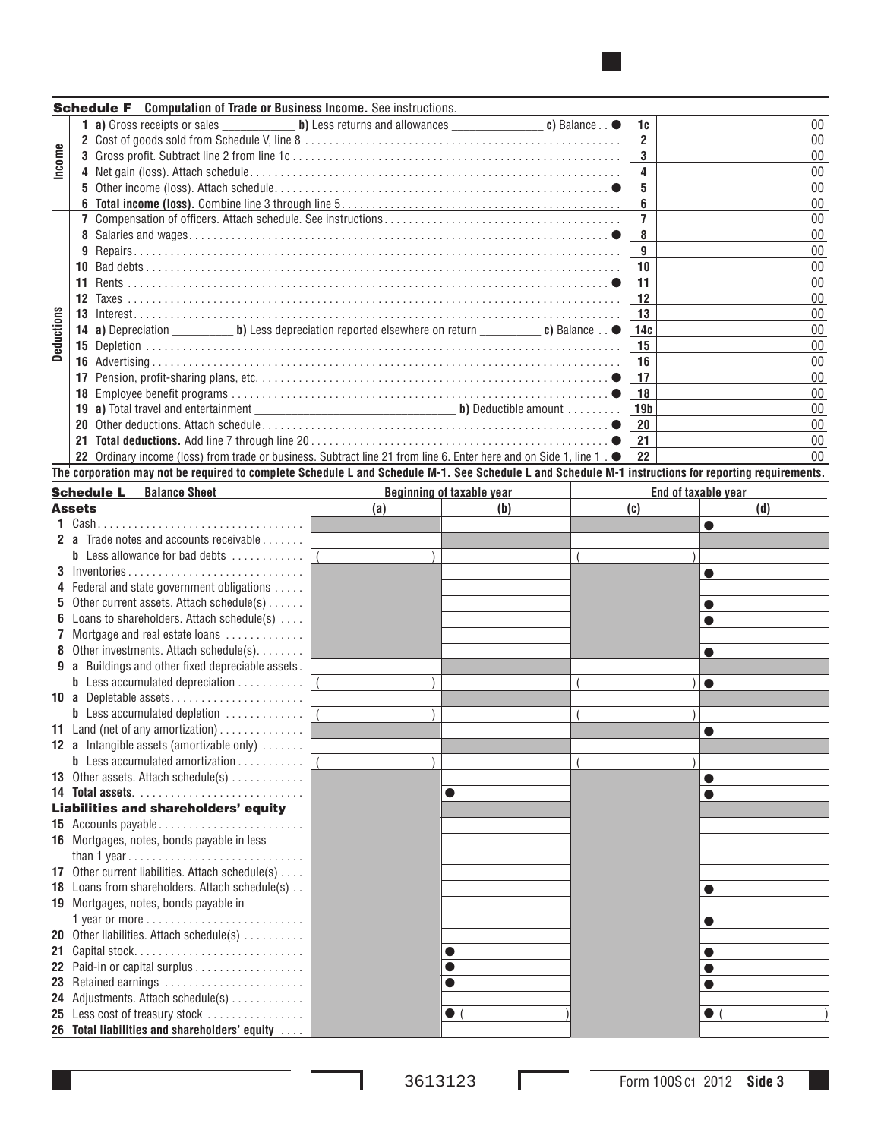|            |         | <b>Schedule F</b> Computation of Trade or Business Income. See instructions.                                                                          |                 |     |
|------------|---------|-------------------------------------------------------------------------------------------------------------------------------------------------------|-----------------|-----|
|            |         |                                                                                                                                                       | 1c              | 00  |
|            |         |                                                                                                                                                       | $\overline{2}$  | 100 |
| Income     |         |                                                                                                                                                       | $\mathbf{3}$    | 100 |
|            |         |                                                                                                                                                       | 4               | 100 |
|            |         |                                                                                                                                                       | 5               | 100 |
|            |         |                                                                                                                                                       | 6               | 100 |
|            |         |                                                                                                                                                       | $\overline{7}$  | 00  |
|            |         |                                                                                                                                                       | 8               | 00  |
|            | 9       |                                                                                                                                                       | 9               | 100 |
|            |         |                                                                                                                                                       | 10              | 00  |
|            | 11      |                                                                                                                                                       | 11              | 100 |
|            | $12 \,$ |                                                                                                                                                       | 12              | 100 |
|            |         |                                                                                                                                                       | 13              | 00  |
| Deductions |         |                                                                                                                                                       | 14c             | 00  |
|            |         |                                                                                                                                                       | 15              | 00  |
|            |         |                                                                                                                                                       | 16              | 100 |
|            | 17      |                                                                                                                                                       | 17              | 100 |
|            | 18      |                                                                                                                                                       | 18              | 100 |
|            |         |                                                                                                                                                       | 19 <sub>b</sub> | 100 |
|            | 20.     |                                                                                                                                                       | 20              | 100 |
|            | 21      |                                                                                                                                                       | 21              | 100 |
|            |         | 22 Ordinary income (loss) from trade or business. Subtract line 21 from line 6. Enter here and on Side 1, line 1. $\bullet$                           | 22              | 00  |
|            |         | The corporation may not be required to complete Schedule L and Schedule M-1. See Schedule L and Schedule M-1 instructions for reporting requirements. |                 |     |

|               | <b>Schedule L</b><br><b>Balance Sheet</b>                     |     | <b>Beginning of taxable year</b> | End of taxable year |     |  |  |
|---------------|---------------------------------------------------------------|-----|----------------------------------|---------------------|-----|--|--|
| <b>Assets</b> |                                                               | (a) | (b)                              | (c)                 | (d) |  |  |
|               | 1 Cash.                                                       |     |                                  |                     |     |  |  |
|               | 2 a Trade notes and accounts receivable                       |     |                                  |                     |     |  |  |
|               | <b>b</b> Less allowance for bad debts                         |     |                                  |                     |     |  |  |
|               | $3$ Inventories                                               |     |                                  |                     |     |  |  |
|               | 4 Federal and state government obligations                    |     |                                  |                     |     |  |  |
|               | <b>5</b> Other current assets. Attach schedule(s) $\ldots$ .  |     |                                  |                     |     |  |  |
|               | <b>6</b> Loans to shareholders. Attach schedule(s)            |     |                                  |                     |     |  |  |
|               | Mortgage and real estate loans                                |     |                                  |                     |     |  |  |
|               | 8 Other investments. Attach schedule(s).                      |     |                                  |                     | 0   |  |  |
|               | <b>9 a</b> Buildings and other fixed depreciable assets.      |     |                                  |                     |     |  |  |
|               | <b>b</b> Less accumulated depreciation                        |     |                                  |                     |     |  |  |
|               | 10 a Depletable assets                                        |     |                                  |                     |     |  |  |
|               | <b>b</b> Less accumulated depletion                           |     |                                  |                     |     |  |  |
|               | 11 Land (net of any amortization)                             |     |                                  |                     |     |  |  |
|               | 12 a Intangible assets (amortizable only)                     |     |                                  |                     |     |  |  |
|               | <b>b</b> Less accumulated amortization $\ldots \ldots \ldots$ |     |                                  |                     |     |  |  |
|               | 13 Other assets. Attach schedule(s)                           |     |                                  |                     |     |  |  |
|               |                                                               |     |                                  |                     |     |  |  |
|               | Liabilities and shareholders' equity                          |     |                                  |                     |     |  |  |
|               |                                                               |     |                                  |                     |     |  |  |
|               | 16 Mortgages, notes, bonds payable in less                    |     |                                  |                     |     |  |  |
|               |                                                               |     |                                  |                     |     |  |  |
|               | 17 Other current liabilities. Attach schedule(s)              |     |                                  |                     |     |  |  |
|               | 18 Loans from shareholders. Attach schedule(s)                |     |                                  |                     |     |  |  |
|               | 19 Mortgages, notes, bonds payable in                         |     |                                  |                     |     |  |  |
|               |                                                               |     |                                  |                     |     |  |  |
|               | 20 Other liabilities. Attach schedule(s)                      |     |                                  |                     |     |  |  |
|               |                                                               |     |                                  |                     |     |  |  |
|               |                                                               |     |                                  |                     |     |  |  |
|               | 23 Retained earnings                                          |     | O                                |                     |     |  |  |
|               | 24 Adjustments. Attach schedule(s)                            |     |                                  |                     |     |  |  |
|               | 25 Less cost of treasury stock                                |     | $\bullet$                        |                     |     |  |  |
|               | 26 Total liabilities and shareholders' equity                 |     |                                  |                     |     |  |  |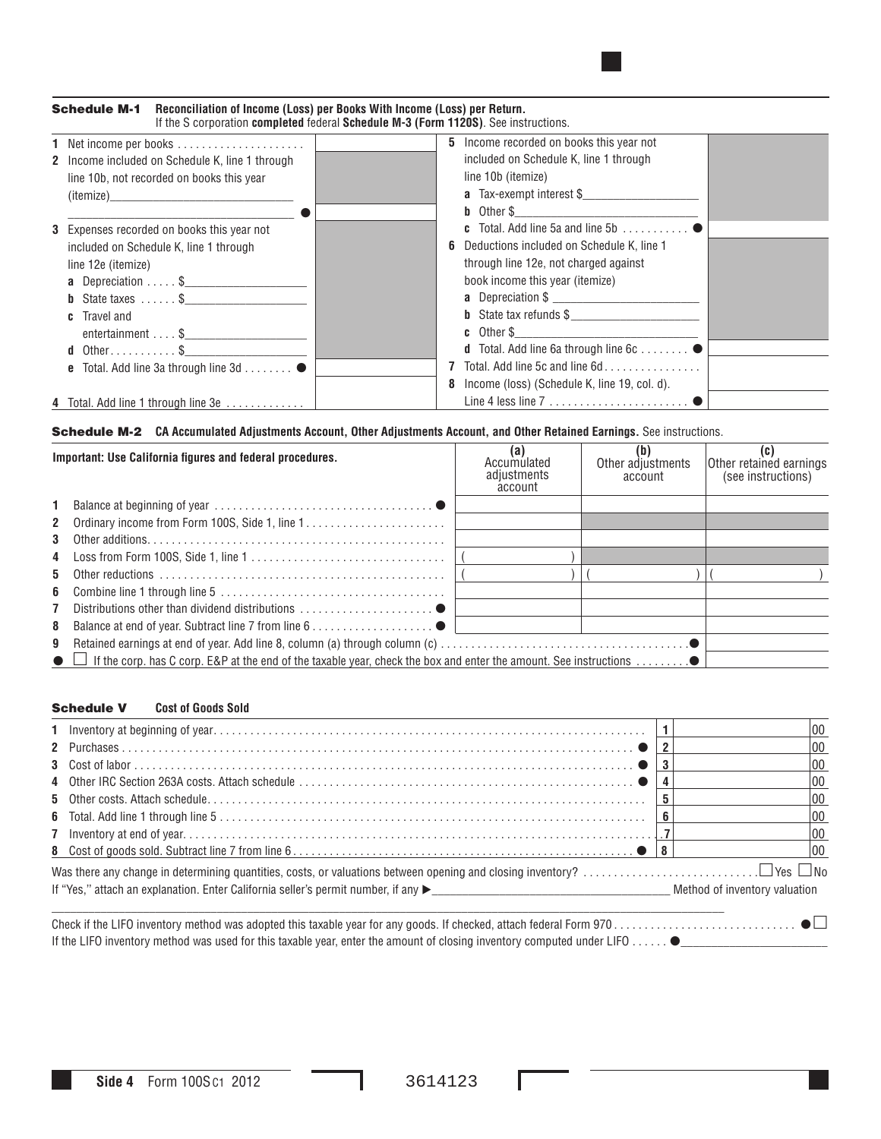| Reconciliation of Income (Loss) per Books With Income (Loss) per Return.<br><b>Schedule M-1</b><br>If the S corporation completed federal Schedule M-3 (Form 1120S). See instructions.                                           |                                                                                                                                                                                                                                                                                                                                                                                                                                                                                                                                                                                                        |
|----------------------------------------------------------------------------------------------------------------------------------------------------------------------------------------------------------------------------------|--------------------------------------------------------------------------------------------------------------------------------------------------------------------------------------------------------------------------------------------------------------------------------------------------------------------------------------------------------------------------------------------------------------------------------------------------------------------------------------------------------------------------------------------------------------------------------------------------------|
| 1 Net income per books<br><b>2</b> Income included on Schedule K, line 1 through<br>line 10b, not recorded on books this year<br>(itemize)                                                                                       | 5 Income recorded on books this year not<br>included on Schedule K, line 1 through<br>line 10b (itemize)<br>a Tax-exempt interest \$                                                                                                                                                                                                                                                                                                                                                                                                                                                                   |
| 3 Expenses recorded on books this year not<br>included on Schedule K, line 1 through<br>line 12e (itemize)<br><b>a</b> Depreciation $\frac{1}{2}$<br><b>b</b> State taxes \$<br><b>c</b> Travel and<br>$entertainment \ldots$ \$ | <b>c</b> Total. Add line 5a and line 5b $\ldots$ , $\ldots$<br>Deductions included on Schedule K, line 1<br>6<br>through line 12e, not charged against<br>book income this year (itemize)<br><b>b</b> State tax refunds $\$$<br>$\boldsymbol{c}$ Other S and $\boldsymbol{c}$ of $\boldsymbol{c}$ and $\boldsymbol{c}$ and $\boldsymbol{c}$ and $\boldsymbol{c}$ and $\boldsymbol{c}$ and $\boldsymbol{c}$ and $\boldsymbol{c}$ and $\boldsymbol{c}$ and $\boldsymbol{c}$ and $\boldsymbol{c}$ and $\boldsymbol{c}$ and $\boldsymbol{c}$ and $\boldsymbol{c}$ and $\boldsymbol{c}$ and $\boldsymbol{c$ |
| <b>d</b> Other\$<br>e Total. Add line 3a through line 3d ●                                                                                                                                                                       | <b>d</b> Total. Add line 6a through line $6c$ $\bullet$<br>Total. Add line 5c and line 6d<br>Income (loss) (Schedule K, line 19, col. d).                                                                                                                                                                                                                                                                                                                                                                                                                                                              |
| 4 Total. Add line 1 through line 3e                                                                                                                                                                                              |                                                                                                                                                                                                                                                                                                                                                                                                                                                                                                                                                                                                        |

## **Schedule M-2** CA Accumulated Adjustments Account, Other Adjustments Account, and Other Retained Earnings. See instructions.

| Important: Use California figures and federal procedures. |                                                                                      | (a)<br>Accumulated<br>adjustments<br>account | Other adjustments<br>account | Other retained earnings<br>(see instructions) |
|-----------------------------------------------------------|--------------------------------------------------------------------------------------|----------------------------------------------|------------------------------|-----------------------------------------------|
|                                                           |                                                                                      |                                              |                              |                                               |
|                                                           | 2 Ordinary income from Form 100S, Side 1, line 1                                     |                                              |                              |                                               |
| 3                                                         |                                                                                      |                                              |                              |                                               |
|                                                           |                                                                                      |                                              |                              |                                               |
| 5                                                         |                                                                                      |                                              |                              |                                               |
|                                                           |                                                                                      |                                              |                              |                                               |
| $\overline{7}$                                            | Distributions other than dividend distributions $\ldots \ldots \ldots \ldots \ldots$ |                                              |                              |                                               |
| 8                                                         |                                                                                      |                                              |                              |                                               |
| 9                                                         |                                                                                      |                                              |                              |                                               |
|                                                           |                                                                                      |                                              |                              |                                               |

## Schedule V **Cost of Goods Sold**

|  | 00 |
|--|----|
|  | 00 |
|  |    |
|  | 00 |
|  | 00 |
|  | 00 |
|  | 00 |
|  | 00 |
|  |    |
|  |    |
|  |    |

Check if the LIFO inventory method was adopted this taxable year for any goods. If checked, attach federal Form 970 . . . . . . . . . . . . . . . . . . . . . . . . . . . . . . If the LIFO inventory method was used for this taxable year, enter the amount of closing inventory computed under LIFO  $\ldots\ldots\bullet$ 

Ш